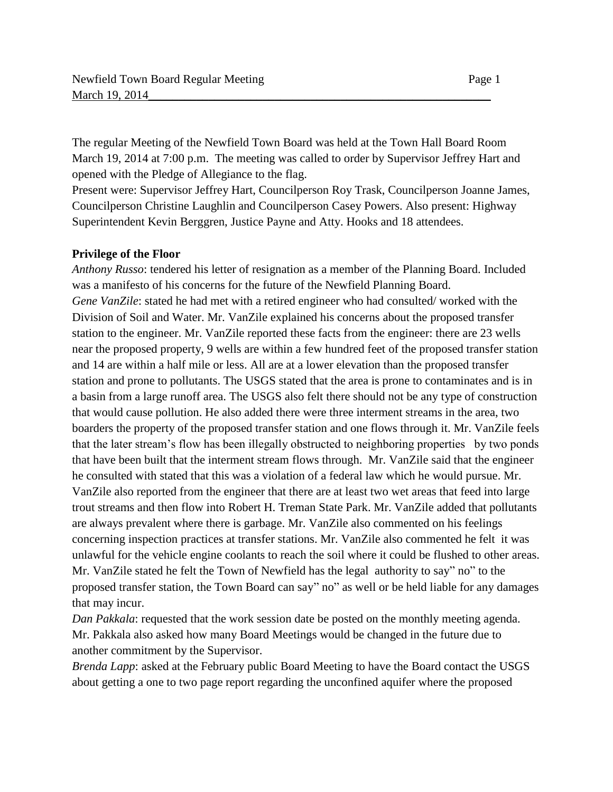The regular Meeting of the Newfield Town Board was held at the Town Hall Board Room March 19, 2014 at 7:00 p.m. The meeting was called to order by Supervisor Jeffrey Hart and opened with the Pledge of Allegiance to the flag.

Present were: Supervisor Jeffrey Hart, Councilperson Roy Trask, Councilperson Joanne James, Councilperson Christine Laughlin and Councilperson Casey Powers. Also present: Highway Superintendent Kevin Berggren, Justice Payne and Atty. Hooks and 18 attendees.

#### **Privilege of the Floor**

*Anthony Russo*: tendered his letter of resignation as a member of the Planning Board. Included was a manifesto of his concerns for the future of the Newfield Planning Board. *Gene VanZile*: stated he had met with a retired engineer who had consulted/ worked with the Division of Soil and Water. Mr. VanZile explained his concerns about the proposed transfer station to the engineer. Mr. VanZile reported these facts from the engineer: there are 23 wells near the proposed property, 9 wells are within a few hundred feet of the proposed transfer station and 14 are within a half mile or less. All are at a lower elevation than the proposed transfer station and prone to pollutants. The USGS stated that the area is prone to contaminates and is in a basin from a large runoff area. The USGS also felt there should not be any type of construction that would cause pollution. He also added there were three interment streams in the area, two boarders the property of the proposed transfer station and one flows through it. Mr. VanZile feels that the later stream's flow has been illegally obstructed to neighboring properties by two ponds that have been built that the interment stream flows through. Mr. VanZile said that the engineer he consulted with stated that this was a violation of a federal law which he would pursue. Mr. VanZile also reported from the engineer that there are at least two wet areas that feed into large trout streams and then flow into Robert H. Treman State Park. Mr. VanZile added that pollutants are always prevalent where there is garbage. Mr. VanZile also commented on his feelings concerning inspection practices at transfer stations. Mr. VanZile also commented he felt it was unlawful for the vehicle engine coolants to reach the soil where it could be flushed to other areas. Mr. VanZile stated he felt the Town of Newfield has the legal authority to say" no" to the proposed transfer station, the Town Board can say" no" as well or be held liable for any damages that may incur.

*Dan Pakkala*: requested that the work session date be posted on the monthly meeting agenda. Mr. Pakkala also asked how many Board Meetings would be changed in the future due to another commitment by the Supervisor.

*Brenda Lapp*: asked at the February public Board Meeting to have the Board contact the USGS about getting a one to two page report regarding the unconfined aquifer where the proposed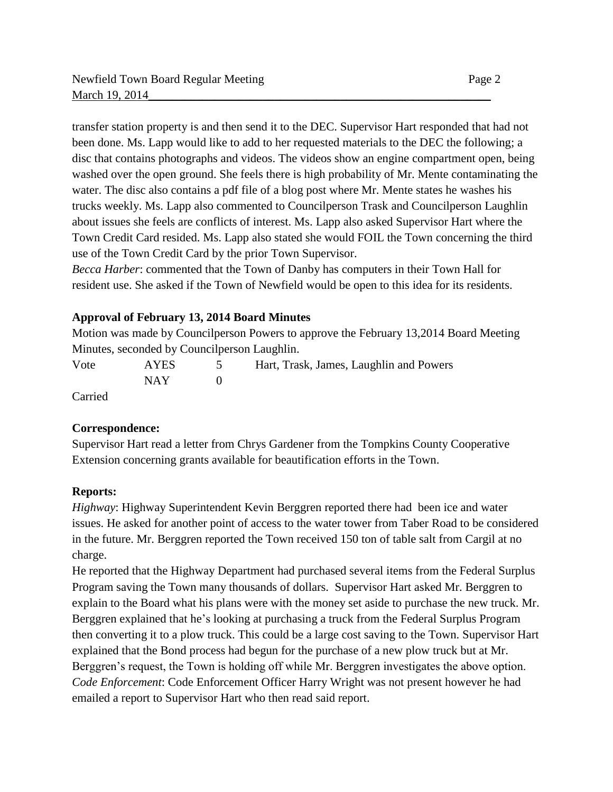transfer station property is and then send it to the DEC. Supervisor Hart responded that had not been done. Ms. Lapp would like to add to her requested materials to the DEC the following; a disc that contains photographs and videos. The videos show an engine compartment open, being washed over the open ground. She feels there is high probability of Mr. Mente contaminating the water. The disc also contains a pdf file of a blog post where Mr. Mente states he washes his trucks weekly. Ms. Lapp also commented to Councilperson Trask and Councilperson Laughlin about issues she feels are conflicts of interest. Ms. Lapp also asked Supervisor Hart where the Town Credit Card resided. Ms. Lapp also stated she would FOIL the Town concerning the third

use of the Town Credit Card by the prior Town Supervisor. *Becca Harber*: commented that the Town of Danby has computers in their Town Hall for resident use. She asked if the Town of Newfield would be open to this idea for its residents.

## **Approval of February 13, 2014 Board Minutes**

Motion was made by Councilperson Powers to approve the February 13,2014 Board Meeting Minutes, seconded by Councilperson Laughlin.

Vote AYES 5 Hart, Trask, James, Laughlin and Powers  $NAY$  0

Carried

### **Correspondence:**

Supervisor Hart read a letter from Chrys Gardener from the Tompkins County Cooperative Extension concerning grants available for beautification efforts in the Town.

### **Reports:**

*Highway*: Highway Superintendent Kevin Berggren reported there had been ice and water issues. He asked for another point of access to the water tower from Taber Road to be considered in the future. Mr. Berggren reported the Town received 150 ton of table salt from Cargil at no charge.

He reported that the Highway Department had purchased several items from the Federal Surplus Program saving the Town many thousands of dollars. Supervisor Hart asked Mr. Berggren to explain to the Board what his plans were with the money set aside to purchase the new truck. Mr. Berggren explained that he's looking at purchasing a truck from the Federal Surplus Program then converting it to a plow truck. This could be a large cost saving to the Town. Supervisor Hart explained that the Bond process had begun for the purchase of a new plow truck but at Mr. Berggren's request, the Town is holding off while Mr. Berggren investigates the above option. *Code Enforcement*: Code Enforcement Officer Harry Wright was not present however he had emailed a report to Supervisor Hart who then read said report.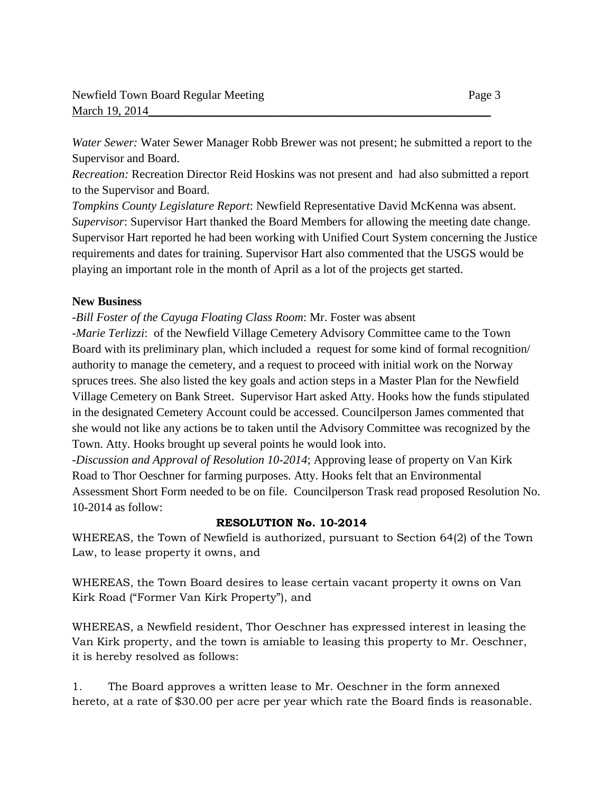*Water Sewer:* Water Sewer Manager Robb Brewer was not present; he submitted a report to the Supervisor and Board.

*Recreation:* Recreation Director Reid Hoskins was not present and had also submitted a report to the Supervisor and Board.

*Tompkins County Legislature Report*: Newfield Representative David McKenna was absent. *Supervisor*: Supervisor Hart thanked the Board Members for allowing the meeting date change. Supervisor Hart reported he had been working with Unified Court System concerning the Justice requirements and dates for training. Supervisor Hart also commented that the USGS would be playing an important role in the month of April as a lot of the projects get started.

## **New Business**

*-Bill Foster of the Cayuga Floating Class Room*: Mr. Foster was absent *-Marie Terlizzi*: of the Newfield Village Cemetery Advisory Committee came to the Town Board with its preliminary plan, which included a request for some kind of formal recognition/ authority to manage the cemetery, and a request to proceed with initial work on the Norway spruces trees. She also listed the key goals and action steps in a Master Plan for the Newfield Village Cemetery on Bank Street. Supervisor Hart asked Atty. Hooks how the funds stipulated in the designated Cemetery Account could be accessed. Councilperson James commented that she would not like any actions be to taken until the Advisory Committee was recognized by the Town. Atty. Hooks brought up several points he would look into.

*-Discussion and Approval of Resolution 10-2014*; Approving lease of property on Van Kirk Road to Thor Oeschner for farming purposes. Atty. Hooks felt that an Environmental Assessment Short Form needed to be on file. Councilperson Trask read proposed Resolution No. 10-2014 as follow:

# **RESOLUTION No. 10-2014**

WHEREAS, the Town of Newfield is authorized, pursuant to Section 64(2) of the Town Law, to lease property it owns, and

WHEREAS, the Town Board desires to lease certain vacant property it owns on Van Kirk Road ("Former Van Kirk Property"), and

WHEREAS, a Newfield resident, Thor Oeschner has expressed interest in leasing the Van Kirk property, and the town is amiable to leasing this property to Mr. Oeschner, it is hereby resolved as follows:

1. The Board approves a written lease to Mr. Oeschner in the form annexed hereto, at a rate of \$30.00 per acre per year which rate the Board finds is reasonable.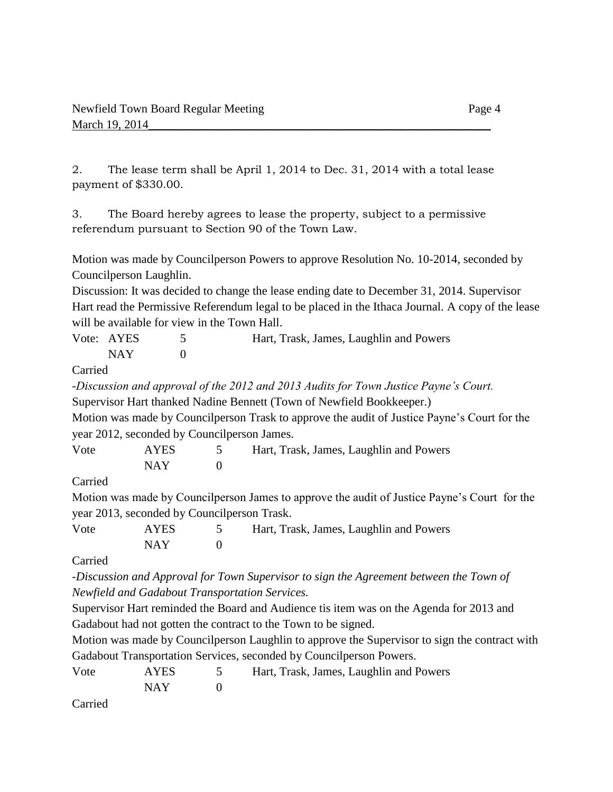2. The lease term shall be April 1, 2014 to Dec. 31, 2014 with a total lease payment of \$330.00.

3. The Board hereby agrees to lease the property, subject to a permissive referendum pursuant to Section 90 of the Town Law.

Motion was made by Councilperson Powers to approve Resolution No. 10-2014, seconded by Councilperson Laughlin.

Discussion: It was decided to change the lease ending date to December 31, 2014. Supervisor Hart read the Permissive Referendum legal to be placed in the Ithaca Journal. A copy of the lease will be available for view in the Town Hall.

| Vote: AYES | Hart, Trask, James, Laughlin and Powers |
|------------|-----------------------------------------|
| NAY        |                                         |

Carried

*-Discussion and approval of the 2012 and 2013 Audits for Town Justice Payne's Court.* Supervisor Hart thanked Nadine Bennett (Town of Newfield Bookkeeper.) Motion was made by Councilperson Trask to approve the audit of Justice Payne's Court for the year 2012, seconded by Councilperson James.

| Vote | <b>AYES</b> | Hart, Trask, James, Laughlin and Powers |
|------|-------------|-----------------------------------------|
|      | NAY.        |                                         |

Carried

Motion was made by Councilperson James to approve the audit of Justice Payne's Court for the year 2013, seconded by Councilperson Trask.

| Vote | AYES | Hart, Trask, James, Laughlin and Powers |
|------|------|-----------------------------------------|
|      | NAY  |                                         |

Carried

*-Discussion and Approval for Town Supervisor to sign the Agreement between the Town of Newfield and Gadabout Transportation Services.*

Supervisor Hart reminded the Board and Audience tis item was on the Agenda for 2013 and Gadabout had not gotten the contract to the Town to be signed.

Motion was made by Councilperson Laughlin to approve the Supervisor to sign the contract with Gadabout Transportation Services, seconded by Councilperson Powers.

| Vote | AYES  | 5 Hart, Trask, James, Laughlin and Powers |
|------|-------|-------------------------------------------|
|      | NAY 1 |                                           |
| ___  |       |                                           |

Carried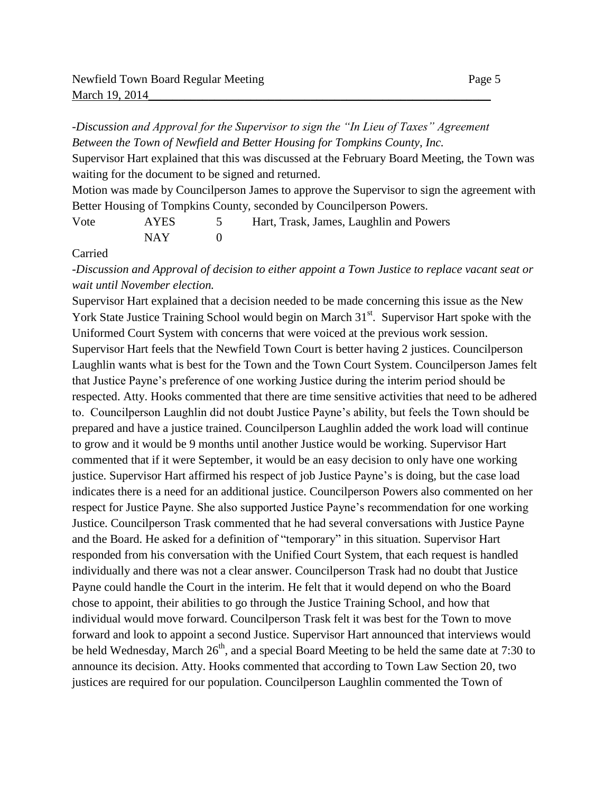*-Discussion and Approval for the Supervisor to sign the "In Lieu of Taxes" Agreement Between the Town of Newfield and Better Housing for Tompkins County, Inc.*

Supervisor Hart explained that this was discussed at the February Board Meeting, the Town was waiting for the document to be signed and returned.

Motion was made by Councilperson James to approve the Supervisor to sign the agreement with Better Housing of Tompkins County, seconded by Councilperson Powers.

| Vote | <b>AYES</b> | Hart, Trask, James, Laughlin and Powers |
|------|-------------|-----------------------------------------|
|      | NAY         |                                         |

Carried

*-Discussion and Approval of decision to either appoint a Town Justice to replace vacant seat or wait until November election.*

Supervisor Hart explained that a decision needed to be made concerning this issue as the New York State Justice Training School would begin on March  $31<sup>st</sup>$ . Supervisor Hart spoke with the Uniformed Court System with concerns that were voiced at the previous work session. Supervisor Hart feels that the Newfield Town Court is better having 2 justices. Councilperson Laughlin wants what is best for the Town and the Town Court System. Councilperson James felt that Justice Payne's preference of one working Justice during the interim period should be respected. Atty. Hooks commented that there are time sensitive activities that need to be adhered to. Councilperson Laughlin did not doubt Justice Payne's ability, but feels the Town should be prepared and have a justice trained. Councilperson Laughlin added the work load will continue to grow and it would be 9 months until another Justice would be working. Supervisor Hart commented that if it were September, it would be an easy decision to only have one working justice. Supervisor Hart affirmed his respect of job Justice Payne's is doing, but the case load indicates there is a need for an additional justice. Councilperson Powers also commented on her respect for Justice Payne. She also supported Justice Payne's recommendation for one working Justice. Councilperson Trask commented that he had several conversations with Justice Payne and the Board. He asked for a definition of "temporary" in this situation. Supervisor Hart responded from his conversation with the Unified Court System, that each request is handled individually and there was not a clear answer. Councilperson Trask had no doubt that Justice Payne could handle the Court in the interim. He felt that it would depend on who the Board chose to appoint, their abilities to go through the Justice Training School, and how that individual would move forward. Councilperson Trask felt it was best for the Town to move forward and look to appoint a second Justice. Supervisor Hart announced that interviews would be held Wednesday, March  $26<sup>th</sup>$ , and a special Board Meeting to be held the same date at 7:30 to announce its decision. Atty. Hooks commented that according to Town Law Section 20, two justices are required for our population. Councilperson Laughlin commented the Town of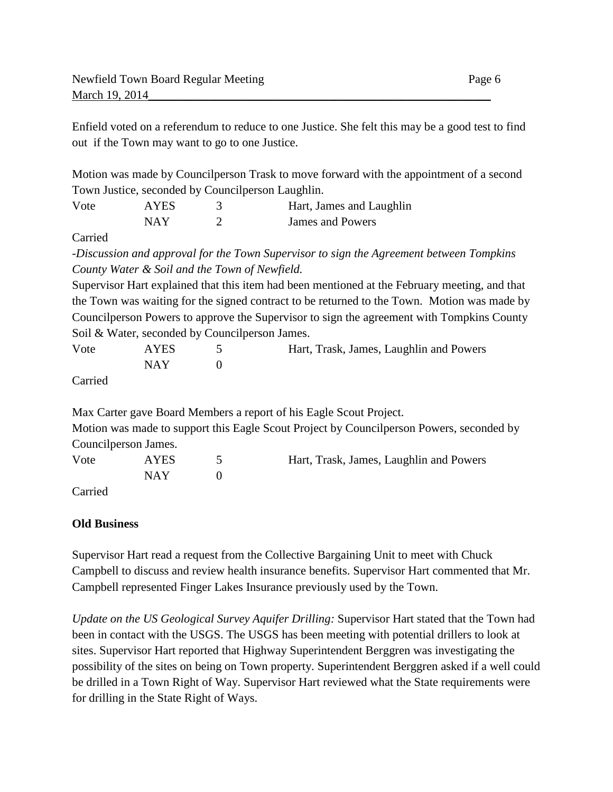Enfield voted on a referendum to reduce to one Justice. She felt this may be a good test to find out if the Town may want to go to one Justice.

Motion was made by Councilperson Trask to move forward with the appointment of a second Town Justice, seconded by Councilperson Laughlin.

| Vote | <b>AYES</b> | Hart, James and Laughlin |
|------|-------------|--------------------------|
|      | <b>NAY</b>  | James and Powers         |

Carried

*-Discussion and approval for the Town Supervisor to sign the Agreement between Tompkins County Water & Soil and the Town of Newfield.*

Supervisor Hart explained that this item had been mentioned at the February meeting, and that the Town was waiting for the signed contract to be returned to the Town. Motion was made by Councilperson Powers to approve the Supervisor to sign the agreement with Tompkins County Soil & Water, seconded by Councilperson James.

| Vote | <b>AYES</b> | Hart, Trask, James, Laughlin and Powers |
|------|-------------|-----------------------------------------|
|      | NAY.        |                                         |

Carried

Max Carter gave Board Members a report of his Eagle Scout Project.

Motion was made to support this Eagle Scout Project by Councilperson Powers, seconded by Councilperson James.

| Vote                                             | <b>AYES</b> | Hart, Trask, James, Laughlin and Powers |
|--------------------------------------------------|-------------|-----------------------------------------|
|                                                  | NAY -       |                                         |
| $\sim$ $\sim$ $\sim$ $\sim$ $\sim$ $\sim$ $\sim$ |             |                                         |

Carried

### **Old Business**

Supervisor Hart read a request from the Collective Bargaining Unit to meet with Chuck Campbell to discuss and review health insurance benefits. Supervisor Hart commented that Mr. Campbell represented Finger Lakes Insurance previously used by the Town.

*Update on the US Geological Survey Aquifer Drilling:* Supervisor Hart stated that the Town had been in contact with the USGS. The USGS has been meeting with potential drillers to look at sites. Supervisor Hart reported that Highway Superintendent Berggren was investigating the possibility of the sites on being on Town property. Superintendent Berggren asked if a well could be drilled in a Town Right of Way. Supervisor Hart reviewed what the State requirements were for drilling in the State Right of Ways.